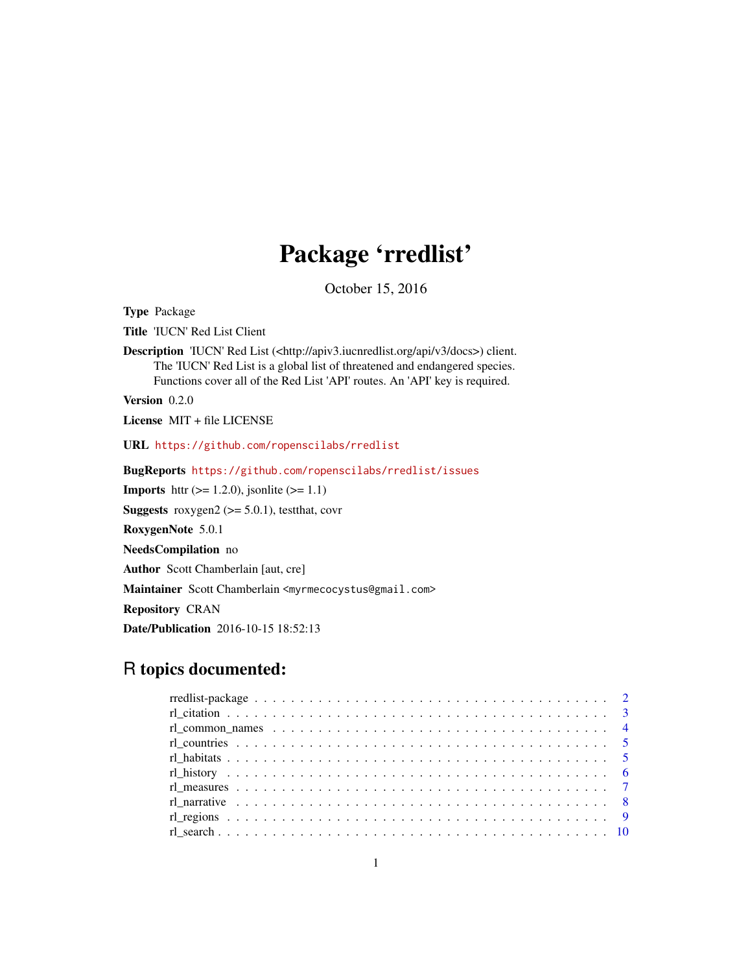# Package 'rredlist'

October 15, 2016

<span id="page-0-0"></span>Type Package

Title 'IUCN' Red List Client

Description 'IUCN' Red List (<http://apiv3.iucnredlist.org/api/v3/docs>) client. The 'IUCN' Red List is a global list of threatened and endangered species. Functions cover all of the Red List 'API' routes. An 'API' key is required.

Version 0.2.0

License MIT + file LICENSE

URL <https://github.com/ropenscilabs/rredlist>

BugReports <https://github.com/ropenscilabs/rredlist/issues>

**Imports** httr  $(>= 1.2.0)$ , jsonlite  $(>= 1.1)$ 

**Suggests** roxygen2 ( $>= 5.0.1$ ), testthat, covr

RoxygenNote 5.0.1

NeedsCompilation no

Author Scott Chamberlain [aut, cre]

Maintainer Scott Chamberlain <myrmecocystus@gmail.com>

Repository CRAN

Date/Publication 2016-10-15 18:52:13

# R topics documented: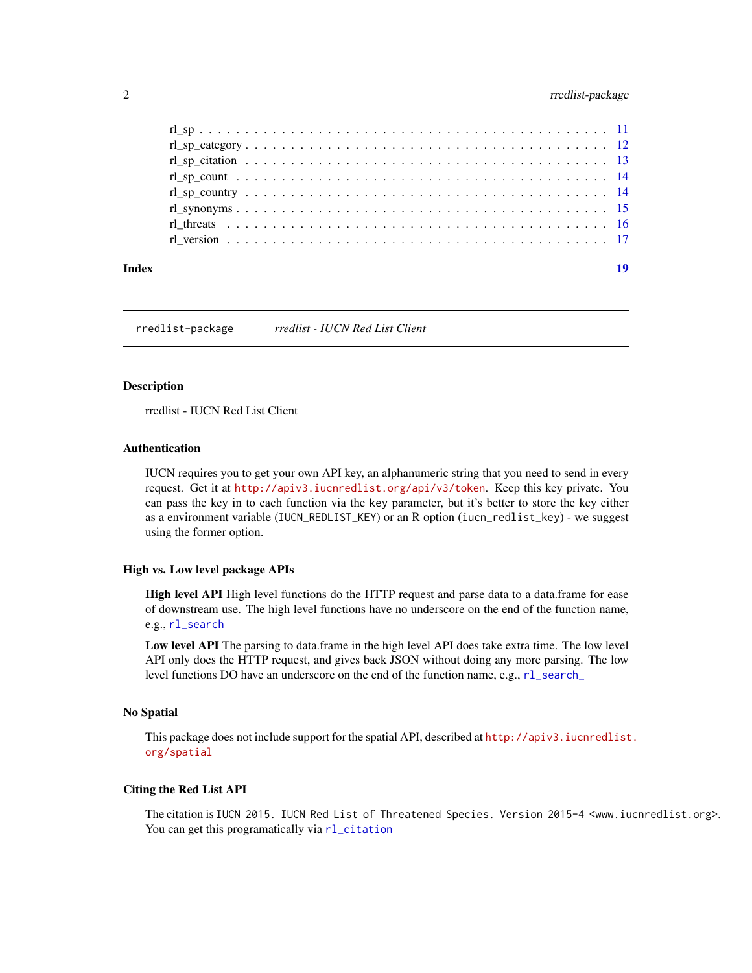# <span id="page-1-0"></span>2 rredlist-package

| Index | 19 |
|-------|----|
|       |    |
|       |    |
|       |    |
|       |    |
|       |    |
|       |    |
|       |    |
|       |    |

rredlist-package *rredlist - IUCN Red List Client*

#### Description

rredlist - IUCN Red List Client

#### Authentication

IUCN requires you to get your own API key, an alphanumeric string that you need to send in every request. Get it at <http://apiv3.iucnredlist.org/api/v3/token>. Keep this key private. You can pass the key in to each function via the key parameter, but it's better to store the key either as a environment variable (IUCN\_REDLIST\_KEY) or an R option (iucn\_redlist\_key) - we suggest using the former option.

#### High vs. Low level package APIs

High level API High level functions do the HTTP request and parse data to a data.frame for ease of downstream use. The high level functions have no underscore on the end of the function name, e.g., [rl\\_search](#page-9-1)

Low level API The parsing to data.frame in the high level API does take extra time. The low level API only does the HTTP request, and gives back JSON without doing any more parsing. The low level functions DO have an underscore on the end of the function name, e.g., [rl\\_search\\_](#page-9-2)

#### No Spatial

This package does not include support for the spatial API, described at [http://apiv3.iucnredlist](http://apiv3.iucnredlist.org/spatial). [org/spatial](http://apiv3.iucnredlist.org/spatial)

# Citing the Red List API

The citation is IUCN 2015. IUCN Red List of Threatened Species. Version 2015-4 <www.iucnredlist.org>. You can get this programatically via [rl\\_citation](#page-2-1)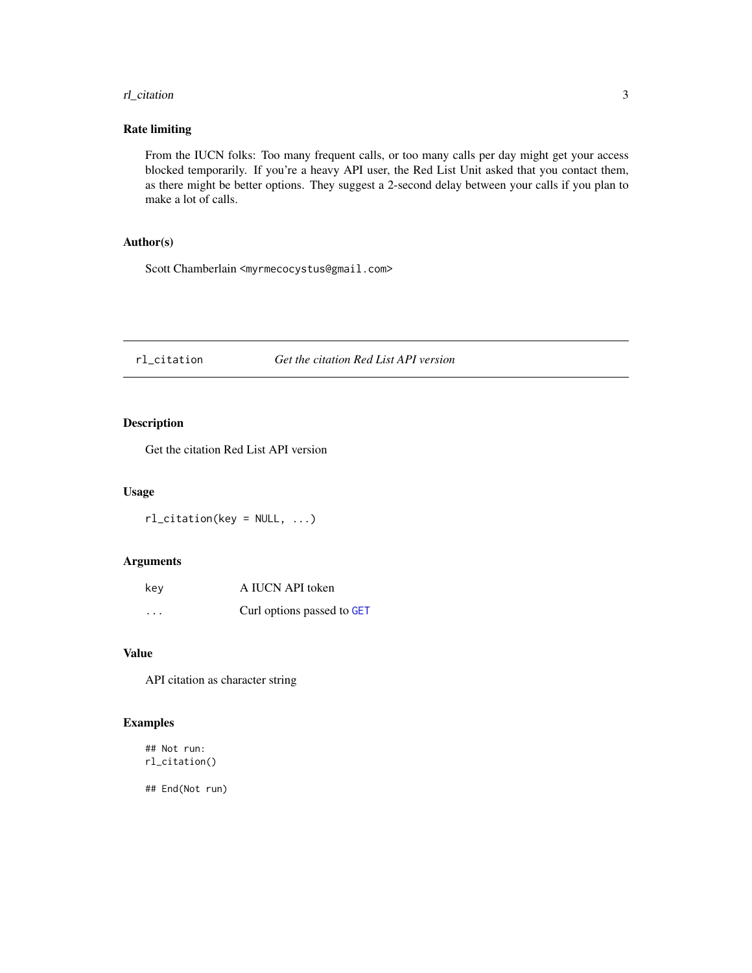# <span id="page-2-0"></span>rl\_citation 3

#### Rate limiting

From the IUCN folks: Too many frequent calls, or too many calls per day might get your access blocked temporarily. If you're a heavy API user, the Red List Unit asked that you contact them, as there might be better options. They suggest a 2-second delay between your calls if you plan to make a lot of calls.

# Author(s)

Scott Chamberlain <myrmecocystus@gmail.com>

#### <span id="page-2-1"></span>rl\_citation *Get the citation Red List API version*

#### Description

Get the citation Red List API version

#### Usage

rl\_citation(key = NULL, ...)

# Arguments

| key     | A IUCN API token           |
|---------|----------------------------|
| $\cdot$ | Curl options passed to GET |

#### Value

API citation as character string

# Examples

## Not run: rl\_citation()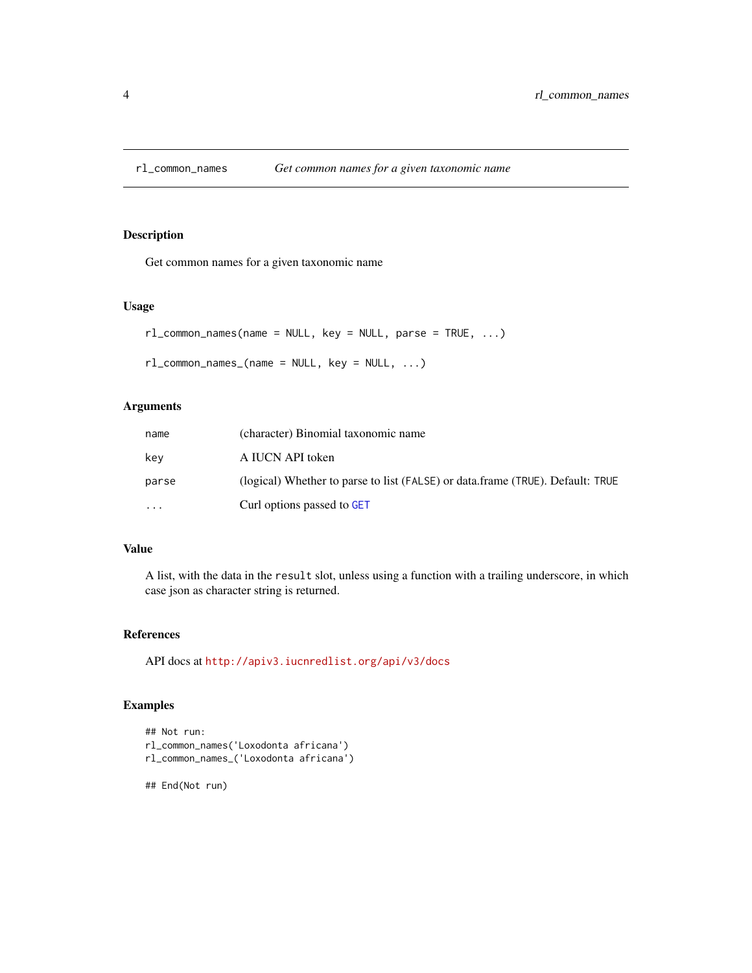<span id="page-3-0"></span>

# Description

Get common names for a given taxonomic name

#### Usage

```
rl_common_names(name = NULL, key = NULL, parse = TRUE, ...)
```

```
rl_common_names_(name = NULL, key = NULL, ...)
```
#### Arguments

| name     | (character) Binomial taxonomic name                                            |
|----------|--------------------------------------------------------------------------------|
| kev      | A IUCN API token                                                               |
| parse    | (logical) Whether to parse to list (FALSE) or data.frame (TRUE). Default: TRUE |
| $\cdots$ | Curl options passed to GET                                                     |

#### Value

A list, with the data in the result slot, unless using a function with a trailing underscore, in which case json as character string is returned.

#### References

API docs at <http://apiv3.iucnredlist.org/api/v3/docs>

#### Examples

```
## Not run:
rl_common_names('Loxodonta africana')
rl_common_names_('Loxodonta africana')
```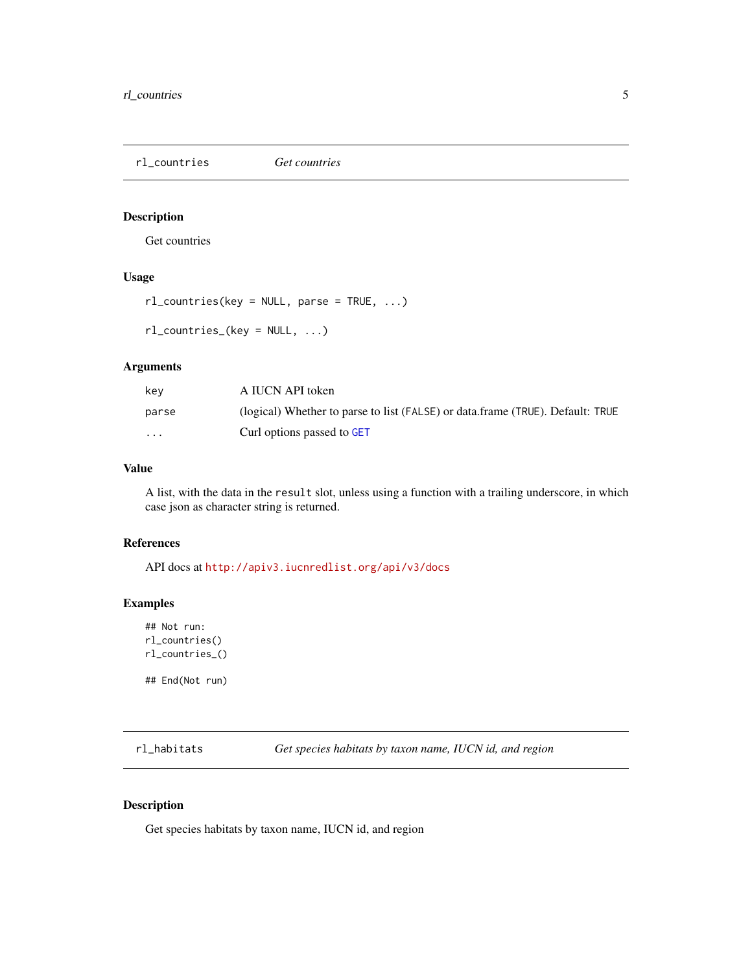<span id="page-4-0"></span>rl\_countries *Get countries*

#### Description

Get countries

# Usage

rl\_countries(key = NULL, parse = TRUE, ...)

rl\_countries\_(key = NULL, ...)

#### Arguments

| kev                     | A IUCN API token                                                               |
|-------------------------|--------------------------------------------------------------------------------|
| parse                   | (logical) Whether to parse to list (FALSE) or data.frame (TRUE). Default: TRUE |
| $\cdot$ $\cdot$ $\cdot$ | Curl options passed to GET                                                     |

# Value

A list, with the data in the result slot, unless using a function with a trailing underscore, in which case json as character string is returned.

#### References

API docs at <http://apiv3.iucnredlist.org/api/v3/docs>

#### Examples

```
## Not run:
rl_countries()
rl_countries_()
```
## End(Not run)

rl\_habitats *Get species habitats by taxon name, IUCN id, and region*

#### Description

Get species habitats by taxon name, IUCN id, and region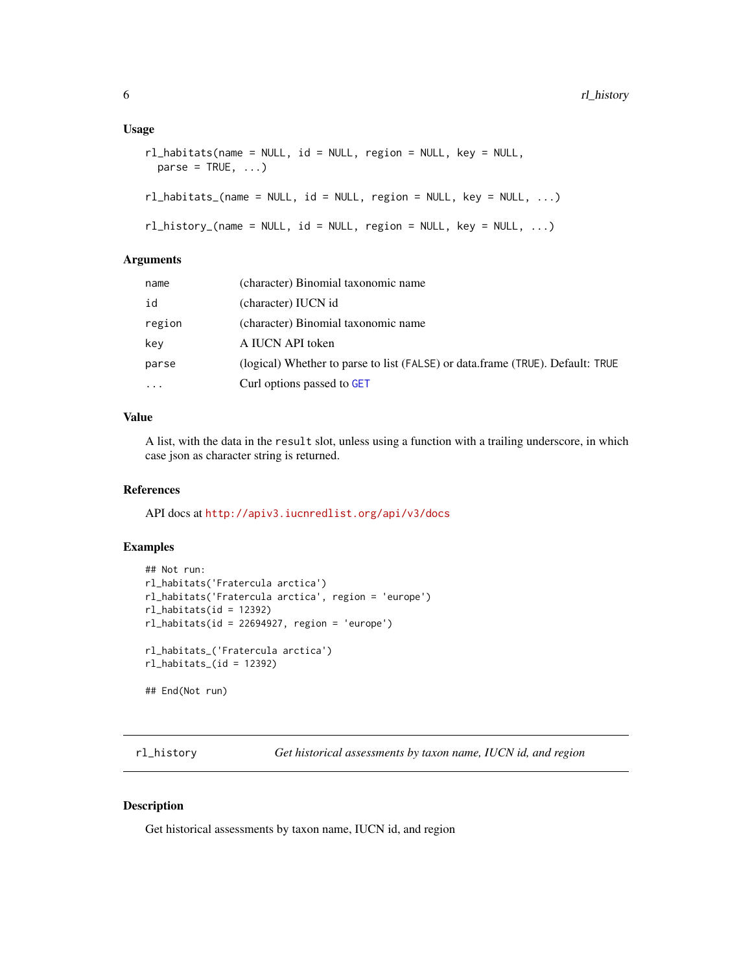```
rl_habitats(name = NULL, id = NULL, region = NULL, key = NULL,
 parse = TRUE, ...
```

```
rl\_habitats_{name} = NULL, id = NULL, region = NULL, key = NULL, ...)
```

```
rl\_history_(\text{name} = \text{NULL}, id = \text{NULL}, region = \text{NULL}, key = \text{NULL}, ...)
```
#### Arguments

| name     | (character) Binomial taxonomic name                                            |
|----------|--------------------------------------------------------------------------------|
| id       | (character) IUCN id                                                            |
| region   | (character) Binomial taxonomic name                                            |
| key      | A IUCN API token                                                               |
| parse    | (logical) Whether to parse to list (FALSE) or data.frame (TRUE). Default: TRUE |
| $\cdots$ | Curl options passed to GET                                                     |

#### Value

A list, with the data in the result slot, unless using a function with a trailing underscore, in which case json as character string is returned.

#### References

API docs at <http://apiv3.iucnredlist.org/api/v3/docs>

# Examples

```
## Not run:
rl_habitats('Fratercula arctica')
rl_habitats('Fratercula arctica', region = 'europe')
rl_habitats(id = 12392)
rl_habitats(id = 22694927, region = 'europe')
rl_habitats_('Fratercula arctica')
rl\_habitats_(id = 12392)## End(Not run)
```
rl\_history *Get historical assessments by taxon name, IUCN id, and region*

# Description

Get historical assessments by taxon name, IUCN id, and region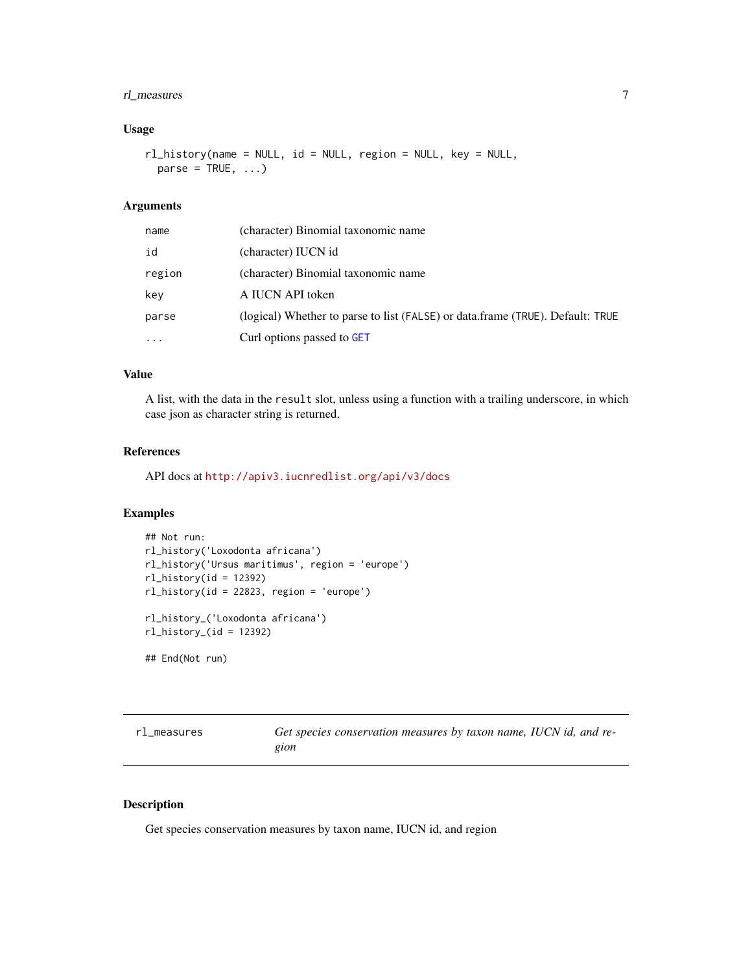### <span id="page-6-0"></span>rl\_measures 7

#### Usage

rl\_history(name = NULL, id = NULL, region = NULL, key = NULL,  $parse = TRUE, ...)$ 

# Arguments

| name     | (character) Binomial taxonomic name                                            |
|----------|--------------------------------------------------------------------------------|
| id       | (character) IUCN id                                                            |
| region   | (character) Binomial taxonomic name                                            |
| kev      | A IUCN API token                                                               |
| parse    | (logical) Whether to parse to list (FALSE) or data.frame (TRUE). Default: TRUE |
| $\cdots$ | Curl options passed to GET                                                     |

# Value

A list, with the data in the result slot, unless using a function with a trailing underscore, in which case json as character string is returned.

#### References

API docs at <http://apiv3.iucnredlist.org/api/v3/docs>

#### Examples

```
## Not run:
rl_history('Loxodonta africana')
rl_history('Ursus maritimus', region = 'europe')
rl_history(id = 12392)
rl_history(id = 22823, region = 'europe')
rl_history_('Loxodonta africana')
rl\_history_(id = 12392)## End(Not run)
```
rl\_measures *Get species conservation measures by taxon name, IUCN id, and re-*

*gion*

# Description

Get species conservation measures by taxon name, IUCN id, and region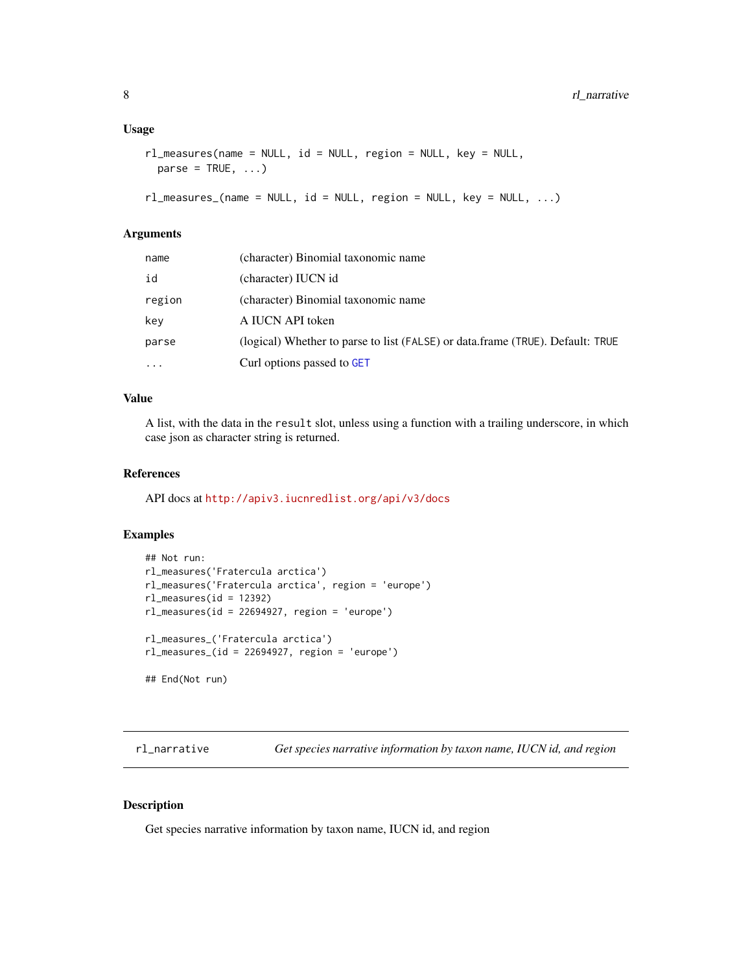```
rl_measures(name = NULL, id = NULL, region = NULL, key = NULL,
 parse = TRUE, ...)
```

```
rl_measures_(name = NULL, id = NULL, region = NULL, key = NULL, ...)
```
#### Arguments

| name     | (character) Binomial taxonomic name                                            |
|----------|--------------------------------------------------------------------------------|
| id       | (character) IUCN id                                                            |
| region   | (character) Binomial taxonomic name                                            |
| key      | A IUCN API token                                                               |
| parse    | (logical) Whether to parse to list (FALSE) or data.frame (TRUE). Default: TRUE |
| $\cdots$ | Curl options passed to GET                                                     |

### Value

A list, with the data in the result slot, unless using a function with a trailing underscore, in which case json as character string is returned.

### References

API docs at <http://apiv3.iucnredlist.org/api/v3/docs>

#### Examples

```
## Not run:
rl_measures('Fratercula arctica')
rl_measures('Fratercula arctica', region = 'europe')
rl_measures(id = 12392)
rl_measures(id = 22694927, region = 'europe')
rl_measures_('Fratercula arctica')
rl_measures_(id = 22694927, region = 'europe')
## End(Not run)
```
rl\_narrative *Get species narrative information by taxon name, IUCN id, and region*

# Description

Get species narrative information by taxon name, IUCN id, and region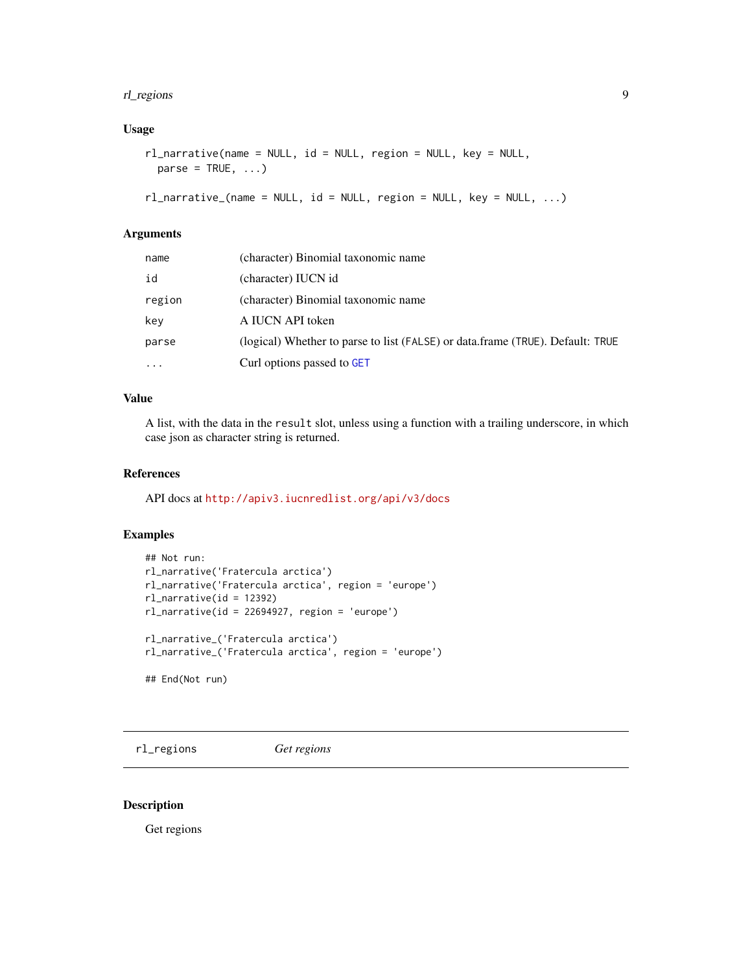#### <span id="page-8-0"></span>rl\_regions 9

# Usage

```
rl_narrative(name = NULL, id = NULL, region = NULL, key = NULL,
 parse = TRUE, ...)
```

```
rl_narrative_(name = NULL, id = NULL, region = NULL, key = NULL, ...)
```
# Arguments

| name   | (character) Binomial taxonomic name                                            |
|--------|--------------------------------------------------------------------------------|
| id     | (character) IUCN id                                                            |
| region | (character) Binomial taxonomic name                                            |
| key    | A IUCN API token                                                               |
| parse  | (logical) Whether to parse to list (FALSE) or data.frame (TRUE). Default: TRUE |
| .      | Curl options passed to GET                                                     |

# Value

A list, with the data in the result slot, unless using a function with a trailing underscore, in which case json as character string is returned.

### References

API docs at <http://apiv3.iucnredlist.org/api/v3/docs>

#### Examples

```
## Not run:
rl_narrative('Fratercula arctica')
rl_narrative('Fratercula arctica', region = 'europe')
rl_narrative(id = 12392)
rl_narrative(id = 22694927, region = 'europe')
rl_narrative_('Fratercula arctica')
rl_narrative_('Fratercula arctica', region = 'europe')
## End(Not run)
```
rl\_regions *Get regions*

#### Description

Get regions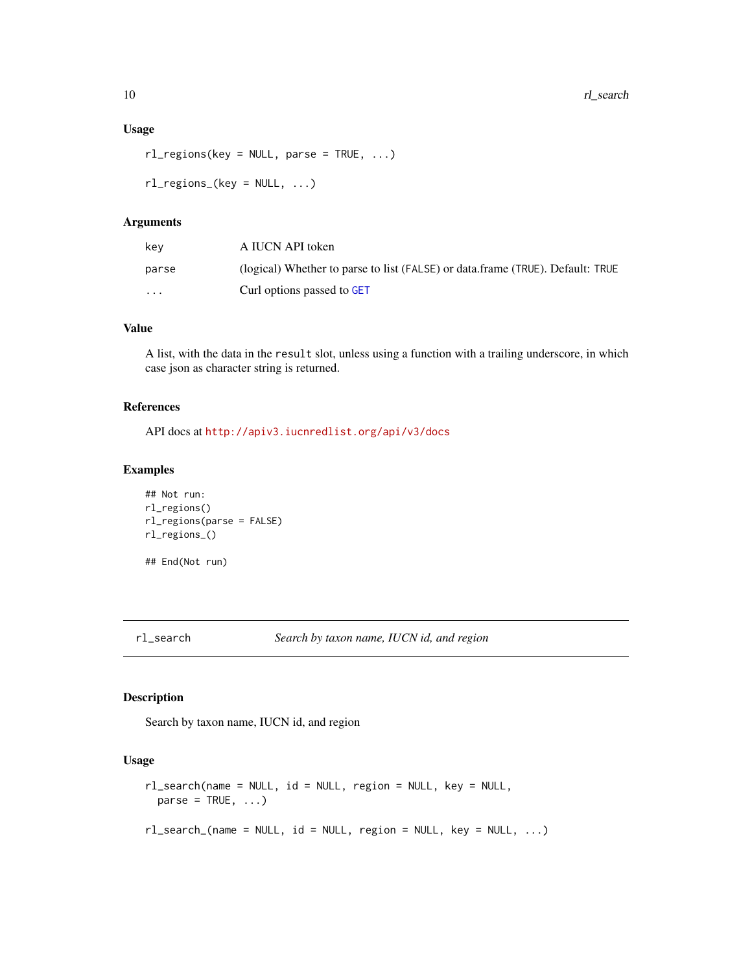```
rl_regions(key = NULL, parse = TRUE, ...)
```

```
rl_{regions_{k}}(key = NULL, ...)
```
#### Arguments

| kev      | A IUCN API token                                                               |
|----------|--------------------------------------------------------------------------------|
| parse    | (logical) Whether to parse to list (FALSE) or data.frame (TRUE). Default: TRUE |
| $\cdots$ | Curl options passed to GET                                                     |

# Value

A list, with the data in the result slot, unless using a function with a trailing underscore, in which case json as character string is returned.

#### References

API docs at <http://apiv3.iucnredlist.org/api/v3/docs>

#### Examples

```
## Not run:
rl_regions()
rl_regions(parse = FALSE)
rl_regions_()
## End(Not run)
```
<span id="page-9-1"></span>rl\_search *Search by taxon name, IUCN id, and region*

# <span id="page-9-2"></span>Description

Search by taxon name, IUCN id, and region

# Usage

```
rl_search(name = NULL, id = NULL, region = NULL, key = NULL,
 parse = TRUE, ...)rl_search_(name = NULL, id = NULL, region = NULL, key = NULL, ...)
```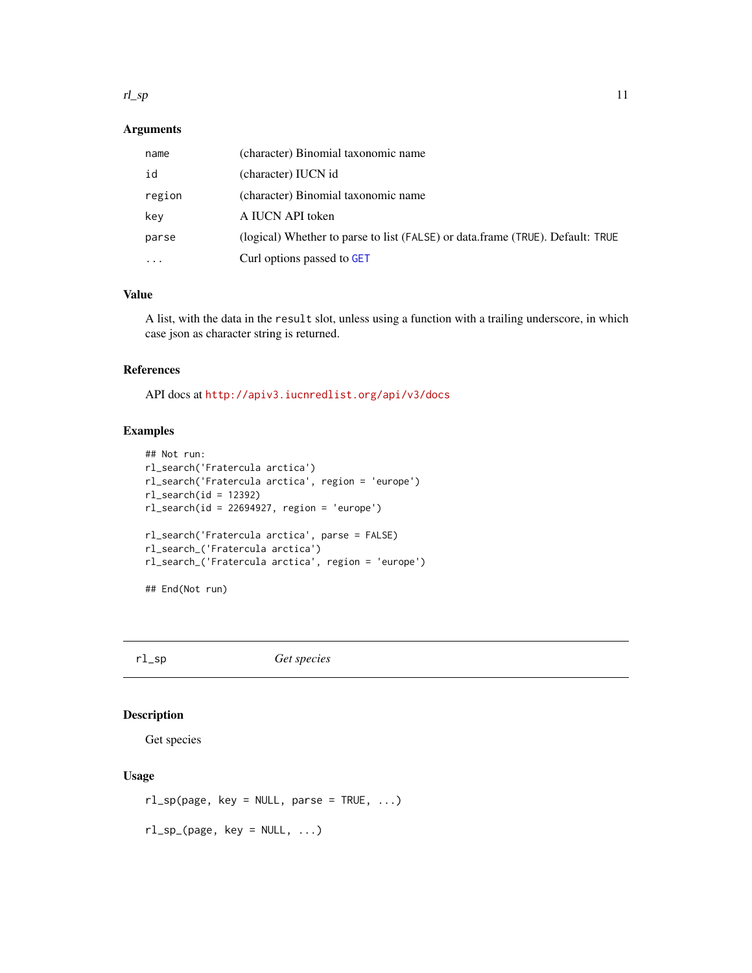#### <span id="page-10-0"></span> $r \log p$  11

# Arguments

| name      | (character) Binomial taxonomic name                                            |
|-----------|--------------------------------------------------------------------------------|
| id        | (character) IUCN id                                                            |
| region    | (character) Binomial taxonomic name                                            |
| key       | A IUCN API token                                                               |
| parse     | (logical) Whether to parse to list (FALSE) or data.frame (TRUE). Default: TRUE |
| $\ddotsc$ | Curl options passed to GET                                                     |

#### Value

A list, with the data in the result slot, unless using a function with a trailing underscore, in which case json as character string is returned.

#### References

API docs at <http://apiv3.iucnredlist.org/api/v3/docs>

# Examples

```
## Not run:
rl_search('Fratercula arctica')
rl_search('Fratercula arctica', region = 'europe')
rl_search(id = 12392)
rl\_search(id = 22694927, region = 'europe')rl_search('Fratercula arctica', parse = FALSE)
rl_search_('Fratercula arctica')
rl_search_('Fratercula arctica', region = 'europe')
## End(Not run)
```
rl\_sp *Get species*

# Description

Get species

# Usage

```
rl_sp(page, key = NULL, parse = TRUE, ...)
rl_sp_{(page, key = NULL, ...)
```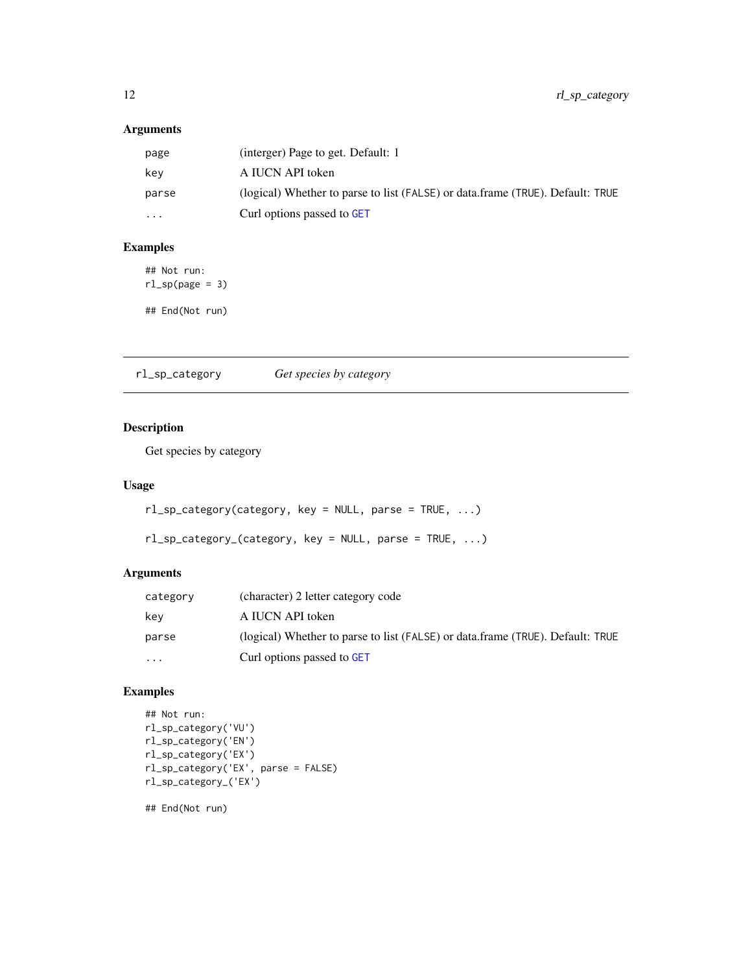# <span id="page-11-0"></span>Arguments

| page     | (interger) Page to get. Default: 1                                             |
|----------|--------------------------------------------------------------------------------|
| key      | A IUCN API token                                                               |
| parse    | (logical) Whether to parse to list (FALSE) or data.frame (TRUE). Default: TRUE |
| $\cdots$ | Curl options passed to GET                                                     |

# Examples

## Not run:  $rl_sp(page = 3)$ ## End(Not run)

rl\_sp\_category *Get species by category*

# Description

Get species by category

#### Usage

```
rl_sp_category(category, key = NULL, parse = TRUE, ...)
```

```
rl_sp_category_(category, key = NULL, parse = TRUE, ...)
```
# Arguments

| category | (character) 2 letter category code                                             |
|----------|--------------------------------------------------------------------------------|
| key      | A IUCN API token                                                               |
| parse    | (logical) Whether to parse to list (FALSE) or data.frame (TRUE). Default: TRUE |
| $\cdots$ | Curl options passed to GET                                                     |

# Examples

```
## Not run:
rl_sp_category('VU')
rl_sp_category('EN')
rl_sp_category('EX')
rl_sp_category('EX', parse = FALSE)
rl_sp_category_('EX')
```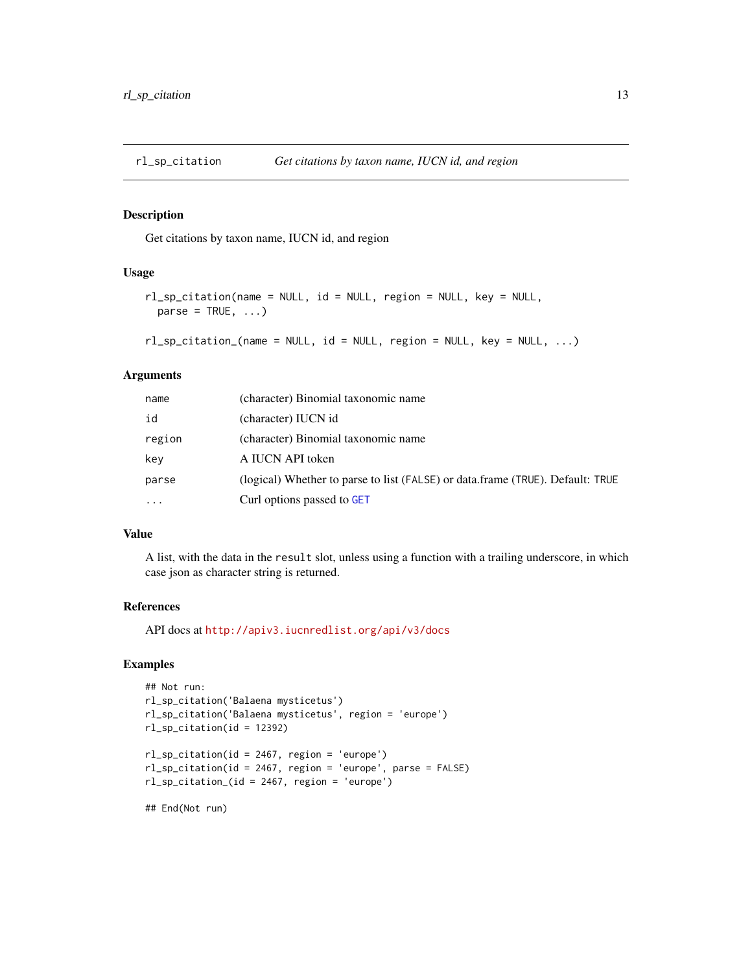<span id="page-12-0"></span>

# Description

Get citations by taxon name, IUCN id, and region

#### Usage

```
rl_sp_citation(name = NULL, id = NULL, region = NULL, key = NULL,
 parse = TRUE, ...
```
rl\_sp\_citation\_(name = NULL, id = NULL, region = NULL, key = NULL, ...)

# Arguments

| name     | (character) Binomial taxonomic name                                            |
|----------|--------------------------------------------------------------------------------|
| id       | (character) IUCN id                                                            |
| region   | (character) Binomial taxonomic name                                            |
| key      | A IUCN API token                                                               |
| parse    | (logical) Whether to parse to list (FALSE) or data.frame (TRUE). Default: TRUE |
| $\cdots$ | Curl options passed to GET                                                     |

#### Value

A list, with the data in the result slot, unless using a function with a trailing underscore, in which case json as character string is returned.

#### References

API docs at <http://apiv3.iucnredlist.org/api/v3/docs>

#### Examples

```
## Not run:
rl_sp_citation('Balaena mysticetus')
rl_sp_citation('Balaena mysticetus', region = 'europe')
rl_sp_citation(id = 12392)
rl_sp_citation(id = 2467, region = 'europe')
rl_sp_citation(id = 2467, region = 'europe', parse = FALSE)
rl_sp_citation_(id = 2467, region = 'europe')
```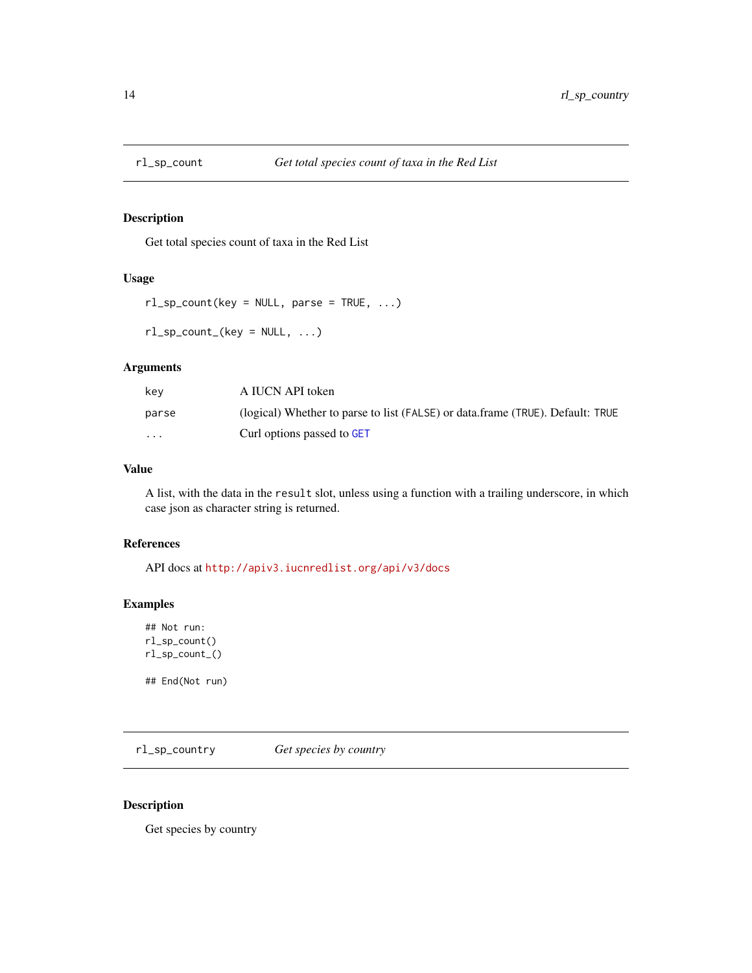<span id="page-13-0"></span>

#### Description

Get total species count of taxa in the Red List

#### Usage

```
rl_sp_count(key = NULL, parse = TRUE, ...)rl_sp_count_ (key = NULL, ...)
```
# Arguments

| key      | A IUCN API token                                                               |
|----------|--------------------------------------------------------------------------------|
| parse    | (logical) Whether to parse to list (FALSE) or data.frame (TRUE). Default: TRUE |
| $\cdots$ | Curl options passed to GET                                                     |

# Value

A list, with the data in the result slot, unless using a function with a trailing underscore, in which case json as character string is returned.

#### References

API docs at <http://apiv3.iucnredlist.org/api/v3/docs>

#### Examples

```
## Not run:
rl_sp_count()
rl_sp_count_()
```
## End(Not run)

rl\_sp\_country *Get species by country*

# Description

Get species by country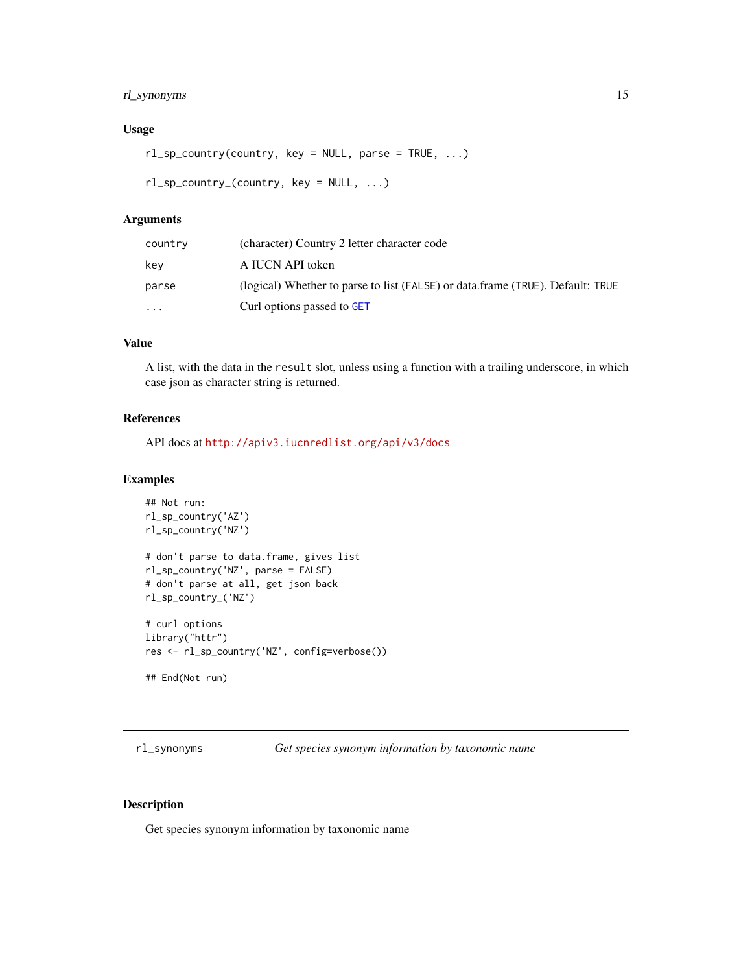# <span id="page-14-0"></span>rl\_synonyms 15

### Usage

```
rl_sp_country(country, key = NULL, parse = TRUE, ...)
```

```
rl_sp_country_(country, key = NULL, ...)
```
#### Arguments

| country  | (character) Country 2 letter character code                                    |
|----------|--------------------------------------------------------------------------------|
| key      | A IUCN API token                                                               |
| parse    | (logical) Whether to parse to list (FALSE) or data.frame (TRUE). Default: TRUE |
| $\cdots$ | Curl options passed to GET                                                     |

#### Value

A list, with the data in the result slot, unless using a function with a trailing underscore, in which case json as character string is returned.

#### References

API docs at <http://apiv3.iucnredlist.org/api/v3/docs>

#### Examples

```
## Not run:
rl_sp_country('AZ')
rl_sp_country('NZ')
# don't parse to data.frame, gives list
rl_sp_country('NZ', parse = FALSE)
# don't parse at all, get json back
rl_sp_country_('NZ')
# curl options
library("httr")
res <- rl_sp_country('NZ', config=verbose())
```
## End(Not run)

rl\_synonyms *Get species synonym information by taxonomic name*

#### Description

Get species synonym information by taxonomic name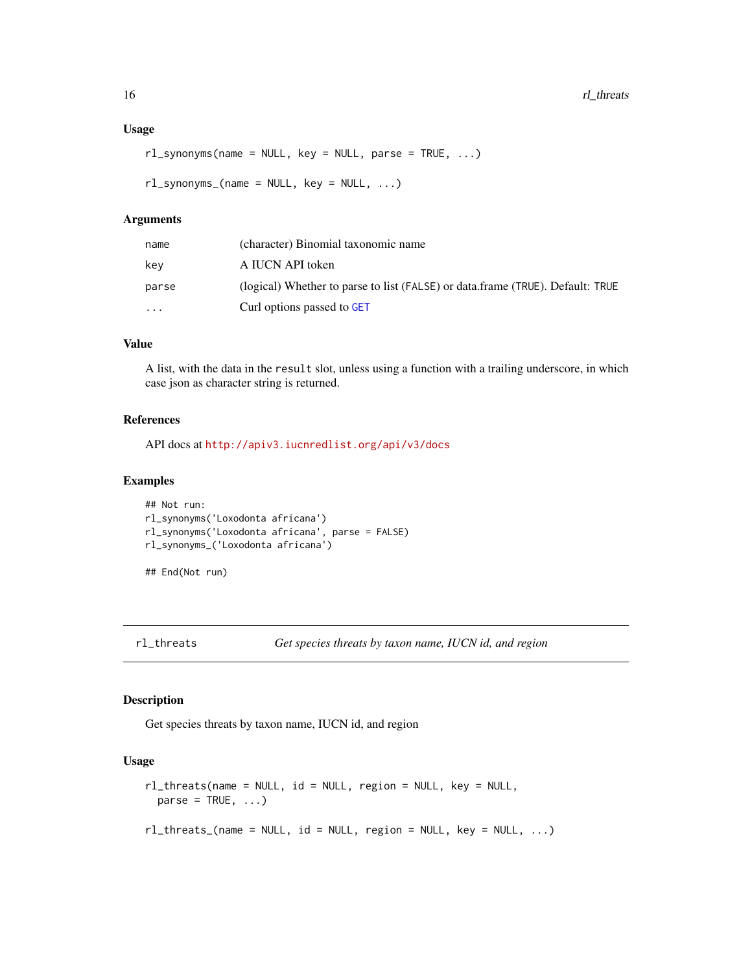```
rl_synonyms(name = NULL, key = NULL, parse = TRUE, ...)
```

```
rl_synonyms_(name = NULL, key = NULL, ...)
```
#### Arguments

| name     | (character) Binomial taxonomic name                                            |
|----------|--------------------------------------------------------------------------------|
| kev      | A IUCN API token                                                               |
| parse    | (logical) Whether to parse to list (FALSE) or data.frame (TRUE). Default: TRUE |
| $\cdots$ | Curl options passed to GET                                                     |

#### Value

A list, with the data in the result slot, unless using a function with a trailing underscore, in which case json as character string is returned.

#### References

API docs at <http://apiv3.iucnredlist.org/api/v3/docs>

#### Examples

```
## Not run:
rl_synonyms('Loxodonta africana')
rl_synonyms('Loxodonta africana', parse = FALSE)
rl_synonyms_('Loxodonta africana')
```
## End(Not run)

```
rl_threats Get species threats by taxon name, IUCN id, and region
```
#### Description

Get species threats by taxon name, IUCN id, and region

#### Usage

```
rl_threats(name = NULL, id = NULL, region = NULL, key = NULL,
 parse = TRUE, ...rl_threats_(name = NULL, id = NULL, region = NULL, key = NULL, ...)
```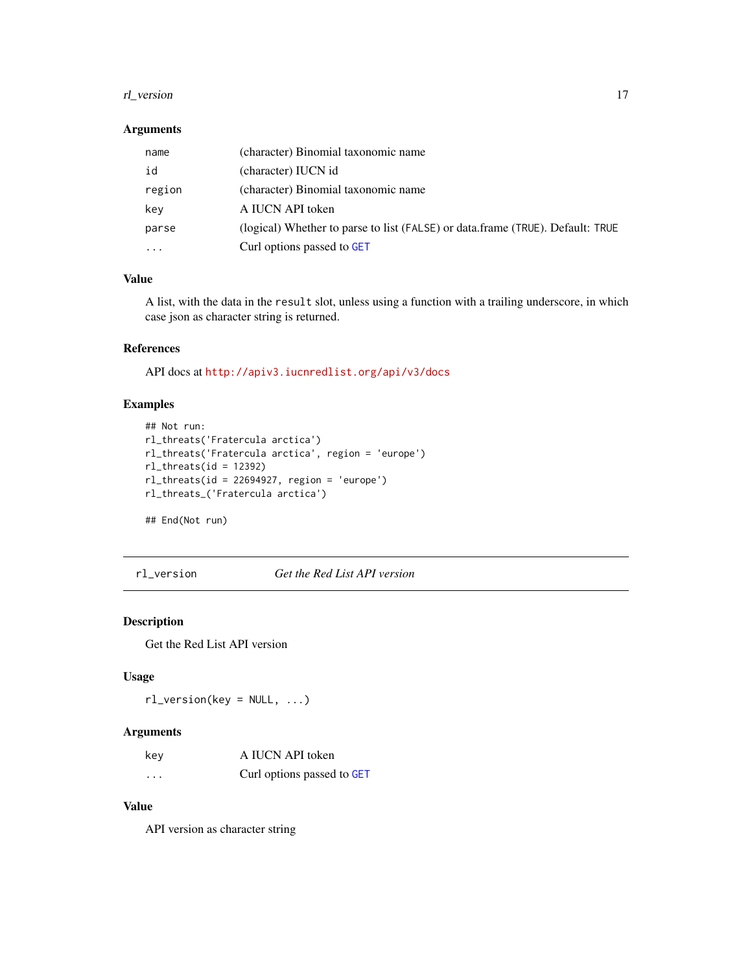#### <span id="page-16-0"></span>rl\_version 17

#### Arguments

| name     | (character) Binomial taxonomic name                                            |
|----------|--------------------------------------------------------------------------------|
| id       | (character) IUCN id                                                            |
| region   | (character) Binomial taxonomic name                                            |
| key      | A IUCN API token                                                               |
| parse    | (logical) Whether to parse to list (FALSE) or data.frame (TRUE). Default: TRUE |
| $\cdots$ | Curl options passed to GET                                                     |

# Value

A list, with the data in the result slot, unless using a function with a trailing underscore, in which case json as character string is returned.

# References

API docs at <http://apiv3.iucnredlist.org/api/v3/docs>

# Examples

```
## Not run:
rl_threats('Fratercula arctica')
rl_threats('Fratercula arctica', region = 'europe')
rl_threats(id = 12392)
rl_threats(id = 22694927, region = 'europe')
rl_threats_('Fratercula arctica')
```
## End(Not run)

rl\_version *Get the Red List API version*

# Description

Get the Red List API version

# Usage

 $rl\_version(key = NULL, ...)$ 

#### Arguments

| key     | A IUCN API token           |
|---------|----------------------------|
| $\cdot$ | Curl options passed to GET |

# Value

API version as character string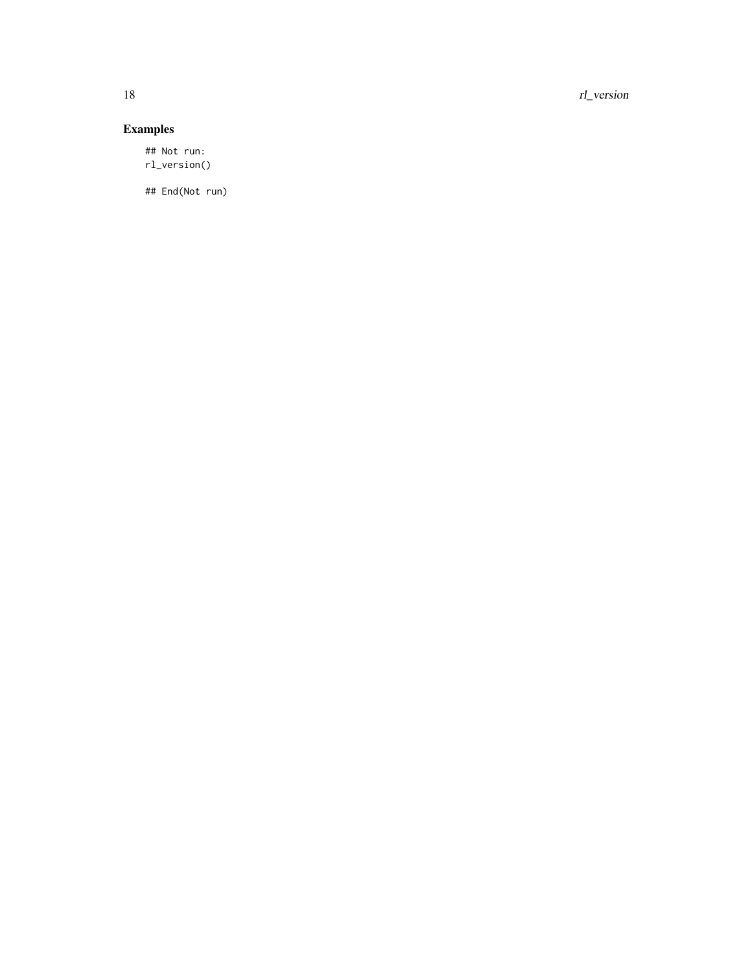18 rl\_version

# Examples

## Not run: rl\_version()